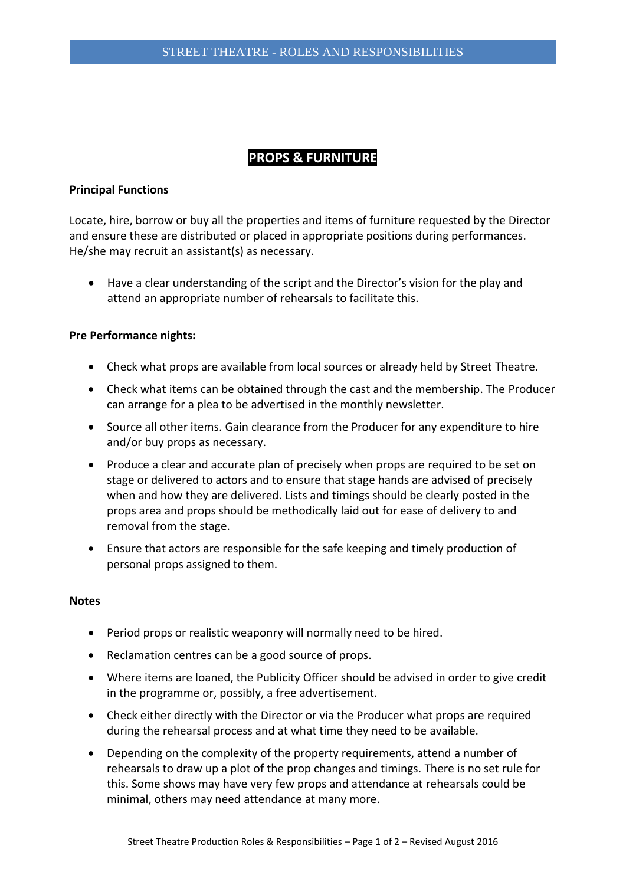# **PROPS & FURNITURE**

## **Principal Functions**

Locate, hire, borrow or buy all the properties and items of furniture requested by the Director and ensure these are distributed or placed in appropriate positions during performances. He/she may recruit an assistant(s) as necessary.

 Have a clear understanding of the script and the Director's vision for the play and attend an appropriate number of rehearsals to facilitate this.

### **Pre Performance nights:**

- Check what props are available from local sources or already held by Street Theatre.
- Check what items can be obtained through the cast and the membership. The Producer can arrange for a plea to be advertised in the monthly newsletter.
- Source all other items. Gain clearance from the Producer for any expenditure to hire and/or buy props as necessary.
- Produce a clear and accurate plan of precisely when props are required to be set on stage or delivered to actors and to ensure that stage hands are advised of precisely when and how they are delivered. Lists and timings should be clearly posted in the props area and props should be methodically laid out for ease of delivery to and removal from the stage.
- Ensure that actors are responsible for the safe keeping and timely production of personal props assigned to them.

### **Notes**

- Period props or realistic weaponry will normally need to be hired.
- Reclamation centres can be a good source of props.
- Where items are loaned, the Publicity Officer should be advised in order to give credit in the programme or, possibly, a free advertisement.
- Check either directly with the Director or via the Producer what props are required during the rehearsal process and at what time they need to be available.
- Depending on the complexity of the property requirements, attend a number of rehearsals to draw up a plot of the prop changes and timings. There is no set rule for this. Some shows may have very few props and attendance at rehearsals could be minimal, others may need attendance at many more.